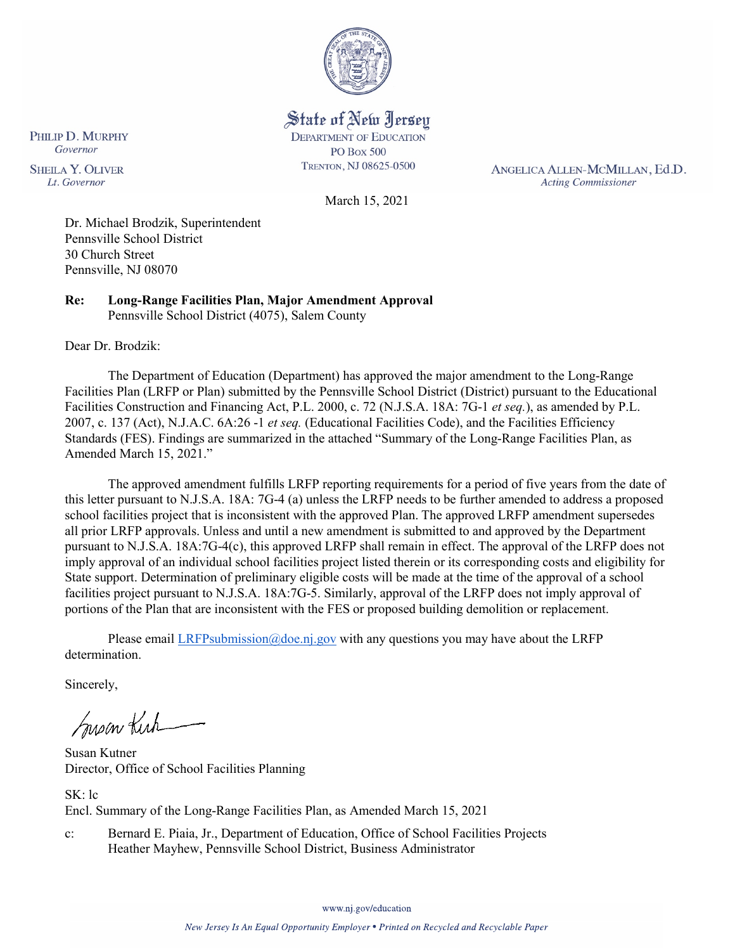

State of New Jersey **DEPARTMENT OF EDUCATION PO Box 500** TRENTON, NJ 08625-0500

ANGELICA ALLEN-MCMILLAN, Ed.D. **Acting Commissioner** 

PHILIP D. MURPHY Governor **SHEILA Y. OLIVER** Lt. Governor

March 15, 2021

Dr. Michael Brodzik, Superintendent Pennsville School District 30 Church Street Pennsville, NJ 08070

**Re: Long-Range Facilities Plan, Major Amendment Approval**  Pennsville School District (4075), Salem County

Dear Dr. Brodzik:

The Department of Education (Department) has approved the major amendment to the Long-Range Facilities Plan (LRFP or Plan) submitted by the Pennsville School District (District) pursuant to the Educational Facilities Construction and Financing Act, P.L. 2000, c. 72 (N.J.S.A. 18A: 7G-1 *et seq.*), as amended by P.L. 2007, c. 137 (Act), N.J.A.C. 6A:26 -1 *et seq.* (Educational Facilities Code), and the Facilities Efficiency Standards (FES). Findings are summarized in the attached "Summary of the Long-Range Facilities Plan, as Amended March 15, 2021."

The approved amendment fulfills LRFP reporting requirements for a period of five years from the date of this letter pursuant to N.J.S.A. 18A: 7G-4 (a) unless the LRFP needs to be further amended to address a proposed school facilities project that is inconsistent with the approved Plan. The approved LRFP amendment supersedes all prior LRFP approvals. Unless and until a new amendment is submitted to and approved by the Department pursuant to N.J.S.A. 18A:7G-4(c), this approved LRFP shall remain in effect. The approval of the LRFP does not imply approval of an individual school facilities project listed therein or its corresponding costs and eligibility for State support. Determination of preliminary eligible costs will be made at the time of the approval of a school facilities project pursuant to N.J.S.A. 18A:7G-5. Similarly, approval of the LRFP does not imply approval of portions of the Plan that are inconsistent with the FES or proposed building demolition or replacement.

Please email [LRFPsubmission@doe.nj.gov](mailto:LRFPsubmission@doe.nj.gov) with any questions you may have about the LRFP determination.

Sincerely,

Susan Kich

Susan Kutner Director, Office of School Facilities Planning

SK: lc Encl. Summary of the Long-Range Facilities Plan, as Amended March 15, 2021

c: Bernard E. Piaia, Jr., Department of Education, Office of School Facilities Projects Heather Mayhew, Pennsville School District, Business Administrator

www.nj.gov/education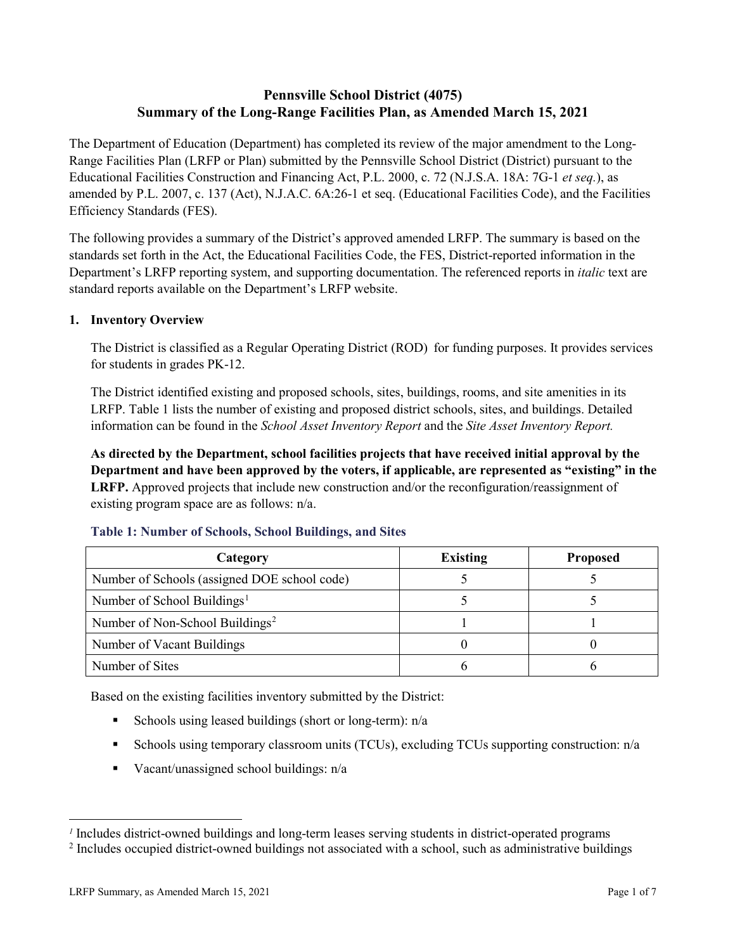# **Pennsville School District (4075) Summary of the Long-Range Facilities Plan, as Amended March 15, 2021**

The Department of Education (Department) has completed its review of the major amendment to the Long-Range Facilities Plan (LRFP or Plan) submitted by the Pennsville School District (District) pursuant to the Educational Facilities Construction and Financing Act, P.L. 2000, c. 72 (N.J.S.A. 18A: 7G-1 *et seq.*), as amended by P.L. 2007, c. 137 (Act), N.J.A.C. 6A:26-1 et seq. (Educational Facilities Code), and the Facilities Efficiency Standards (FES).

The following provides a summary of the District's approved amended LRFP. The summary is based on the standards set forth in the Act, the Educational Facilities Code, the FES, District-reported information in the Department's LRFP reporting system, and supporting documentation. The referenced reports in *italic* text are standard reports available on the Department's LRFP website.

#### **1. Inventory Overview**

The District is classified as a Regular Operating District (ROD) for funding purposes. It provides services for students in grades PK-12.

The District identified existing and proposed schools, sites, buildings, rooms, and site amenities in its LRFP. Table 1 lists the number of existing and proposed district schools, sites, and buildings. Detailed information can be found in the *School Asset Inventory Report* and the *Site Asset Inventory Report.*

**As directed by the Department, school facilities projects that have received initial approval by the Department and have been approved by the voters, if applicable, are represented as "existing" in the LRFP.** Approved projects that include new construction and/or the reconfiguration/reassignment of existing program space are as follows: n/a.

| Category                                     | <b>Existing</b> | <b>Proposed</b> |
|----------------------------------------------|-----------------|-----------------|
| Number of Schools (assigned DOE school code) |                 |                 |
| Number of School Buildings <sup>1</sup>      |                 |                 |
| Number of Non-School Buildings <sup>2</sup>  |                 |                 |
| Number of Vacant Buildings                   |                 |                 |
| Number of Sites                              |                 |                 |

#### **Table 1: Number of Schools, School Buildings, and Sites**

Based on the existing facilities inventory submitted by the District:

- Schools using leased buildings (short or long-term):  $n/a$
- Schools using temporary classroom units (TCUs), excluding TCUs supporting construction: n/a
- Vacant/unassigned school buildings:  $n/a$

 $\overline{a}$ 

<span id="page-1-1"></span><span id="page-1-0"></span>*<sup>1</sup>* Includes district-owned buildings and long-term leases serving students in district-operated programs

<sup>&</sup>lt;sup>2</sup> Includes occupied district-owned buildings not associated with a school, such as administrative buildings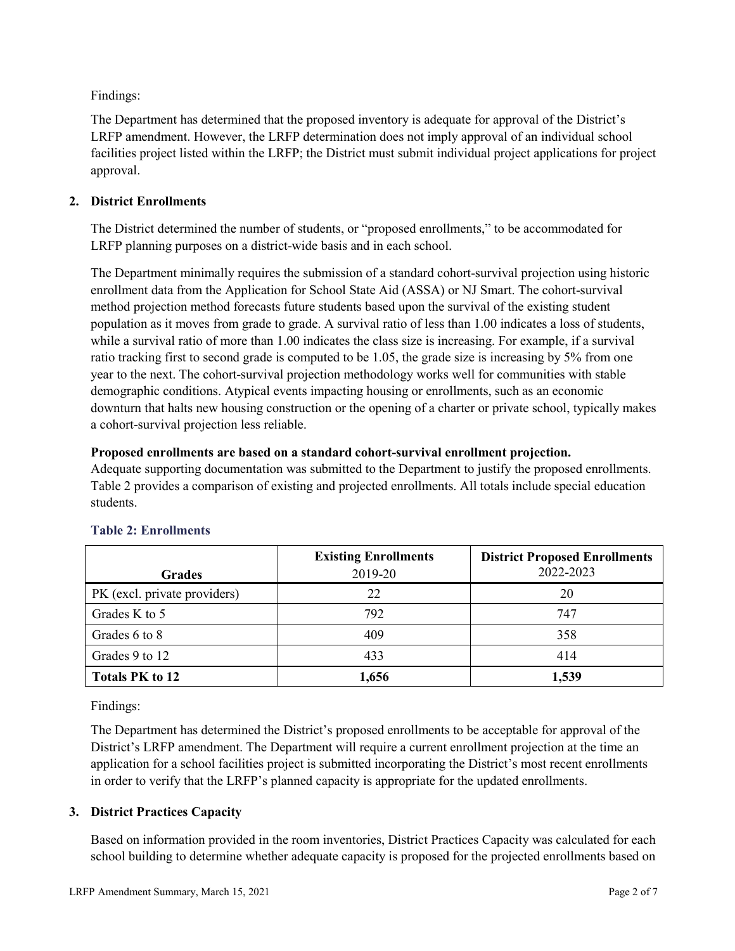Findings:

The Department has determined that the proposed inventory is adequate for approval of the District's LRFP amendment. However, the LRFP determination does not imply approval of an individual school facilities project listed within the LRFP; the District must submit individual project applications for project approval.

# **2. District Enrollments**

The District determined the number of students, or "proposed enrollments," to be accommodated for LRFP planning purposes on a district-wide basis and in each school.

The Department minimally requires the submission of a standard cohort-survival projection using historic enrollment data from the Application for School State Aid (ASSA) or NJ Smart. The cohort-survival method projection method forecasts future students based upon the survival of the existing student population as it moves from grade to grade. A survival ratio of less than 1.00 indicates a loss of students, while a survival ratio of more than 1.00 indicates the class size is increasing. For example, if a survival ratio tracking first to second grade is computed to be 1.05, the grade size is increasing by 5% from one year to the next. The cohort-survival projection methodology works well for communities with stable demographic conditions. Atypical events impacting housing or enrollments, such as an economic downturn that halts new housing construction or the opening of a charter or private school, typically makes a cohort-survival projection less reliable.

#### **Proposed enrollments are based on a standard cohort-survival enrollment projection.**

Adequate supporting documentation was submitted to the Department to justify the proposed enrollments. Table 2 provides a comparison of existing and projected enrollments. All totals include special education students.

|                              | <b>Existing Enrollments</b> | <b>District Proposed Enrollments</b> |
|------------------------------|-----------------------------|--------------------------------------|
| <b>Grades</b>                | 2019-20                     | 2022-2023                            |
| PK (excl. private providers) | 22                          | 20                                   |
| Grades K to 5                | 792                         | 747                                  |
| Grades 6 to 8                | 409                         | 358                                  |
| Grades 9 to 12               | 433                         | 414                                  |
| <b>Totals PK to 12</b>       | 1,656                       | 1,539                                |

# **Table 2: Enrollments**

Findings:

The Department has determined the District's proposed enrollments to be acceptable for approval of the District's LRFP amendment. The Department will require a current enrollment projection at the time an application for a school facilities project is submitted incorporating the District's most recent enrollments in order to verify that the LRFP's planned capacity is appropriate for the updated enrollments.

# **3. District Practices Capacity**

Based on information provided in the room inventories, District Practices Capacity was calculated for each school building to determine whether adequate capacity is proposed for the projected enrollments based on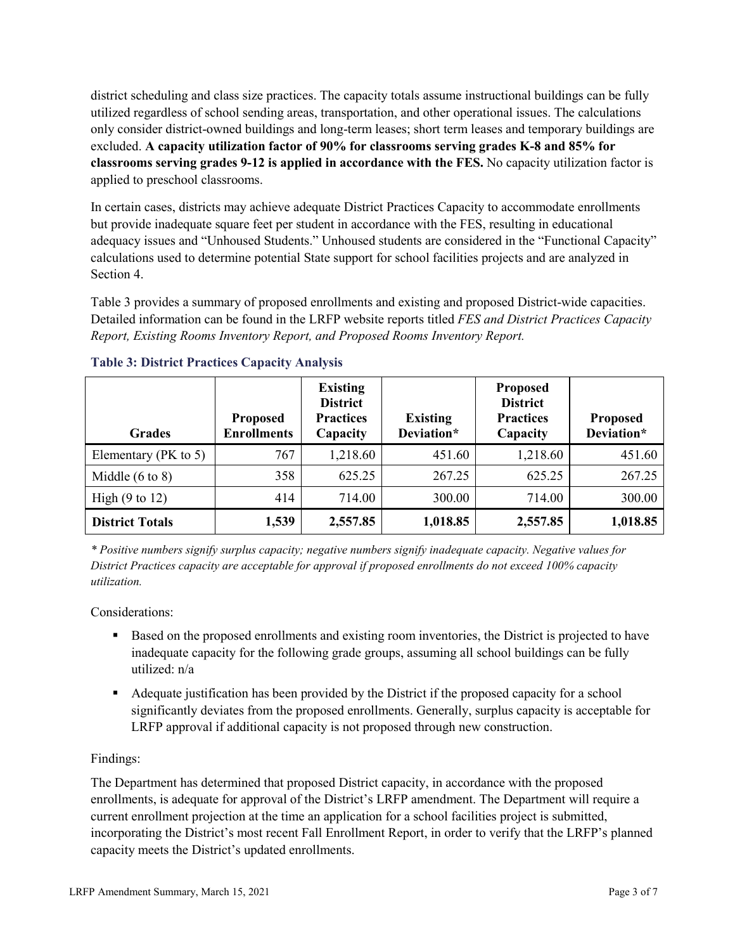district scheduling and class size practices. The capacity totals assume instructional buildings can be fully utilized regardless of school sending areas, transportation, and other operational issues. The calculations only consider district-owned buildings and long-term leases; short term leases and temporary buildings are excluded. **A capacity utilization factor of 90% for classrooms serving grades K-8 and 85% for classrooms serving grades 9-12 is applied in accordance with the FES.** No capacity utilization factor is applied to preschool classrooms.

In certain cases, districts may achieve adequate District Practices Capacity to accommodate enrollments but provide inadequate square feet per student in accordance with the FES, resulting in educational adequacy issues and "Unhoused Students." Unhoused students are considered in the "Functional Capacity" calculations used to determine potential State support for school facilities projects and are analyzed in Section 4.

Table 3 provides a summary of proposed enrollments and existing and proposed District-wide capacities. Detailed information can be found in the LRFP website reports titled *FES and District Practices Capacity Report, Existing Rooms Inventory Report, and Proposed Rooms Inventory Report.*

| <b>Grades</b>              | <b>Proposed</b><br><b>Enrollments</b> | <b>Existing</b><br><b>District</b><br><b>Practices</b><br>Capacity | <b>Existing</b><br>Deviation* | <b>Proposed</b><br><b>District</b><br><b>Practices</b><br>Capacity | <b>Proposed</b><br>Deviation* |
|----------------------------|---------------------------------------|--------------------------------------------------------------------|-------------------------------|--------------------------------------------------------------------|-------------------------------|
| Elementary ( $PK$ to 5)    | 767                                   | 1,218.60                                                           | 451.60                        | 1,218.60                                                           | 451.60                        |
| Middle $(6 \text{ to } 8)$ | 358                                   | 625.25                                                             | 267.25                        | 625.25                                                             | 267.25                        |
| High $(9 \text{ to } 12)$  | 414                                   | 714.00                                                             | 300.00                        | 714.00                                                             | 300.00                        |
| <b>District Totals</b>     | 1,539                                 | 2,557.85                                                           | 1,018.85                      | 2,557.85                                                           | 1,018.85                      |

# **Table 3: District Practices Capacity Analysis**

*\* Positive numbers signify surplus capacity; negative numbers signify inadequate capacity. Negative values for District Practices capacity are acceptable for approval if proposed enrollments do not exceed 100% capacity utilization.*

Considerations:

- Based on the proposed enrollments and existing room inventories, the District is projected to have inadequate capacity for the following grade groups, assuming all school buildings can be fully utilized: n/a
- Adequate justification has been provided by the District if the proposed capacity for a school significantly deviates from the proposed enrollments. Generally, surplus capacity is acceptable for LRFP approval if additional capacity is not proposed through new construction.

# Findings:

The Department has determined that proposed District capacity, in accordance with the proposed enrollments, is adequate for approval of the District's LRFP amendment. The Department will require a current enrollment projection at the time an application for a school facilities project is submitted, incorporating the District's most recent Fall Enrollment Report, in order to verify that the LRFP's planned capacity meets the District's updated enrollments.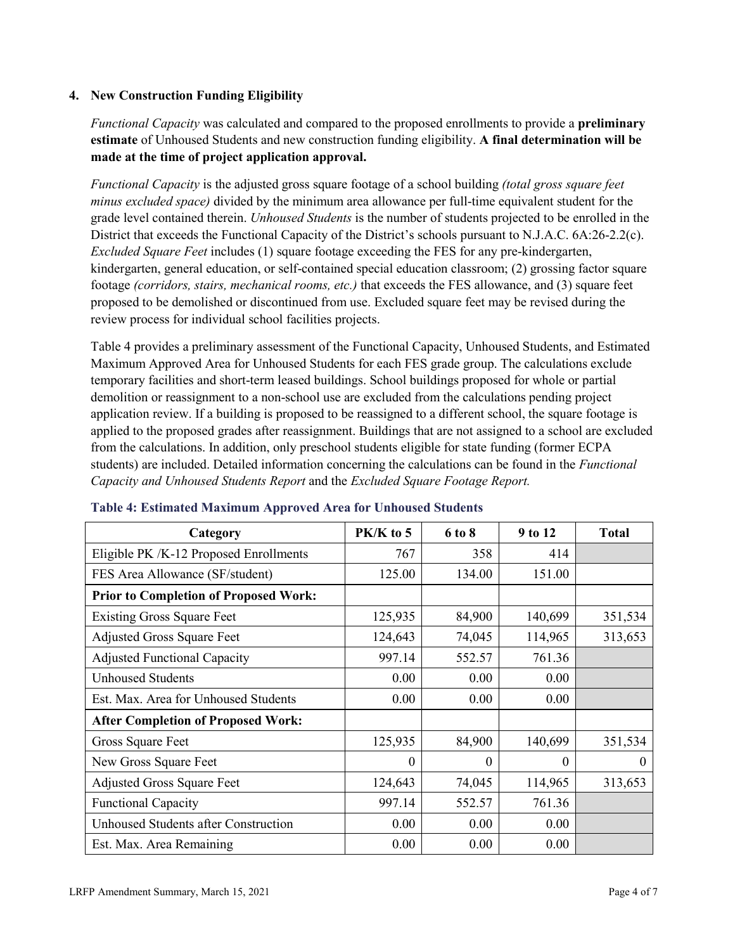# **4. New Construction Funding Eligibility**

*Functional Capacity* was calculated and compared to the proposed enrollments to provide a **preliminary estimate** of Unhoused Students and new construction funding eligibility. **A final determination will be made at the time of project application approval.**

*Functional Capacity* is the adjusted gross square footage of a school building *(total gross square feet minus excluded space)* divided by the minimum area allowance per full-time equivalent student for the grade level contained therein. *Unhoused Students* is the number of students projected to be enrolled in the District that exceeds the Functional Capacity of the District's schools pursuant to N.J.A.C. 6A:26-2.2(c). *Excluded Square Feet* includes (1) square footage exceeding the FES for any pre-kindergarten, kindergarten, general education, or self-contained special education classroom; (2) grossing factor square footage *(corridors, stairs, mechanical rooms, etc.)* that exceeds the FES allowance, and (3) square feet proposed to be demolished or discontinued from use. Excluded square feet may be revised during the review process for individual school facilities projects.

Table 4 provides a preliminary assessment of the Functional Capacity, Unhoused Students, and Estimated Maximum Approved Area for Unhoused Students for each FES grade group. The calculations exclude temporary facilities and short-term leased buildings. School buildings proposed for whole or partial demolition or reassignment to a non-school use are excluded from the calculations pending project application review. If a building is proposed to be reassigned to a different school, the square footage is applied to the proposed grades after reassignment. Buildings that are not assigned to a school are excluded from the calculations. In addition, only preschool students eligible for state funding (former ECPA students) are included. Detailed information concerning the calculations can be found in the *Functional Capacity and Unhoused Students Report* and the *Excluded Square Footage Report.*

| Category                                     | PK/K to 5 | 6 to 8   | 9 to 12  | <b>Total</b> |
|----------------------------------------------|-----------|----------|----------|--------------|
| Eligible PK /K-12 Proposed Enrollments       | 767       | 358      | 414      |              |
| FES Area Allowance (SF/student)              | 125.00    | 134.00   | 151.00   |              |
| <b>Prior to Completion of Proposed Work:</b> |           |          |          |              |
| <b>Existing Gross Square Feet</b>            | 125,935   | 84,900   | 140,699  | 351,534      |
| <b>Adjusted Gross Square Feet</b>            | 124,643   | 74,045   | 114,965  | 313,653      |
| <b>Adjusted Functional Capacity</b>          | 997.14    | 552.57   | 761.36   |              |
| <b>Unhoused Students</b>                     | 0.00      | 0.00     | 0.00     |              |
| Est. Max. Area for Unhoused Students         | 0.00      | 0.00     | 0.00     |              |
| <b>After Completion of Proposed Work:</b>    |           |          |          |              |
| Gross Square Feet                            | 125,935   | 84,900   | 140,699  | 351,534      |
| New Gross Square Feet                        | $\Omega$  | $\theta$ | $\Omega$ | $\theta$     |
| <b>Adjusted Gross Square Feet</b>            | 124,643   | 74,045   | 114,965  | 313,653      |
| <b>Functional Capacity</b>                   | 997.14    | 552.57   | 761.36   |              |
| Unhoused Students after Construction         | 0.00      | 0.00     | 0.00     |              |
| Est. Max. Area Remaining                     | 0.00      | 0.00     | 0.00     |              |

#### **Table 4: Estimated Maximum Approved Area for Unhoused Students**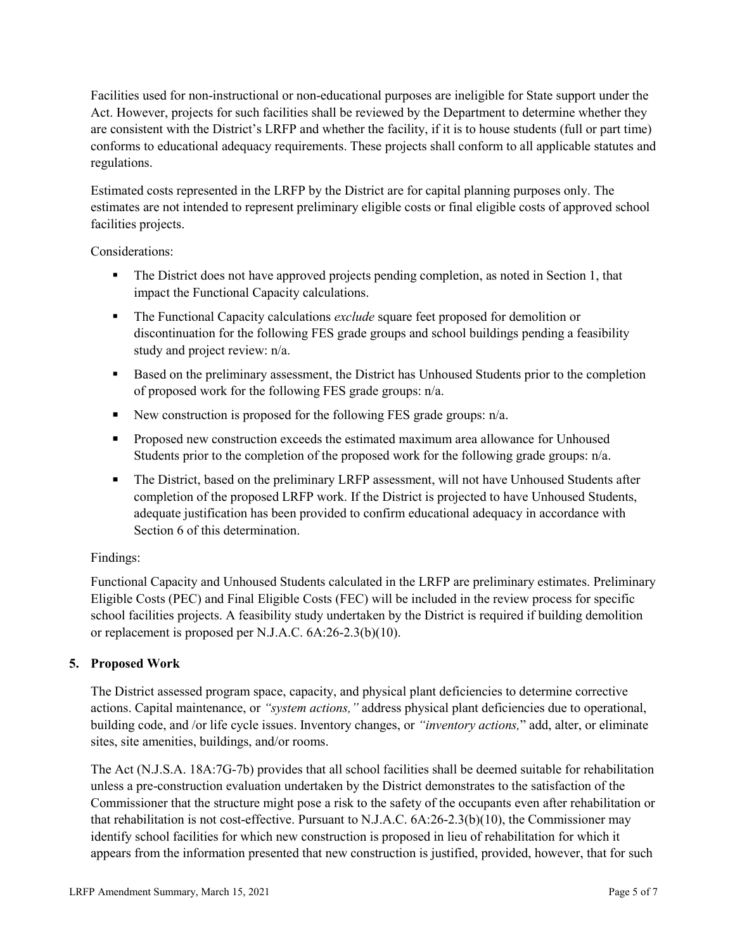Facilities used for non-instructional or non-educational purposes are ineligible for State support under the Act. However, projects for such facilities shall be reviewed by the Department to determine whether they are consistent with the District's LRFP and whether the facility, if it is to house students (full or part time) conforms to educational adequacy requirements. These projects shall conform to all applicable statutes and regulations.

Estimated costs represented in the LRFP by the District are for capital planning purposes only. The estimates are not intended to represent preliminary eligible costs or final eligible costs of approved school facilities projects.

Considerations:

- The District does not have approved projects pending completion, as noted in Section 1, that impact the Functional Capacity calculations.
- **The Functional Capacity calculations** *exclude* square feet proposed for demolition or discontinuation for the following FES grade groups and school buildings pending a feasibility study and project review: n/a.
- Based on the preliminary assessment, the District has Unhoused Students prior to the completion of proposed work for the following FES grade groups: n/a.
- New construction is proposed for the following FES grade groups: n/a.
- Proposed new construction exceeds the estimated maximum area allowance for Unhoused Students prior to the completion of the proposed work for the following grade groups: n/a.
- The District, based on the preliminary LRFP assessment, will not have Unhoused Students after completion of the proposed LRFP work. If the District is projected to have Unhoused Students, adequate justification has been provided to confirm educational adequacy in accordance with Section 6 of this determination.

# Findings:

Functional Capacity and Unhoused Students calculated in the LRFP are preliminary estimates. Preliminary Eligible Costs (PEC) and Final Eligible Costs (FEC) will be included in the review process for specific school facilities projects. A feasibility study undertaken by the District is required if building demolition or replacement is proposed per N.J.A.C. 6A:26-2.3(b)(10).

# **5. Proposed Work**

The District assessed program space, capacity, and physical plant deficiencies to determine corrective actions. Capital maintenance, or *"system actions,"* address physical plant deficiencies due to operational, building code, and /or life cycle issues. Inventory changes, or *"inventory actions,*" add, alter, or eliminate sites, site amenities, buildings, and/or rooms.

The Act (N.J.S.A. 18A:7G-7b) provides that all school facilities shall be deemed suitable for rehabilitation unless a pre-construction evaluation undertaken by the District demonstrates to the satisfaction of the Commissioner that the structure might pose a risk to the safety of the occupants even after rehabilitation or that rehabilitation is not cost-effective. Pursuant to N.J.A.C. 6A:26-2.3(b)(10), the Commissioner may identify school facilities for which new construction is proposed in lieu of rehabilitation for which it appears from the information presented that new construction is justified, provided, however, that for such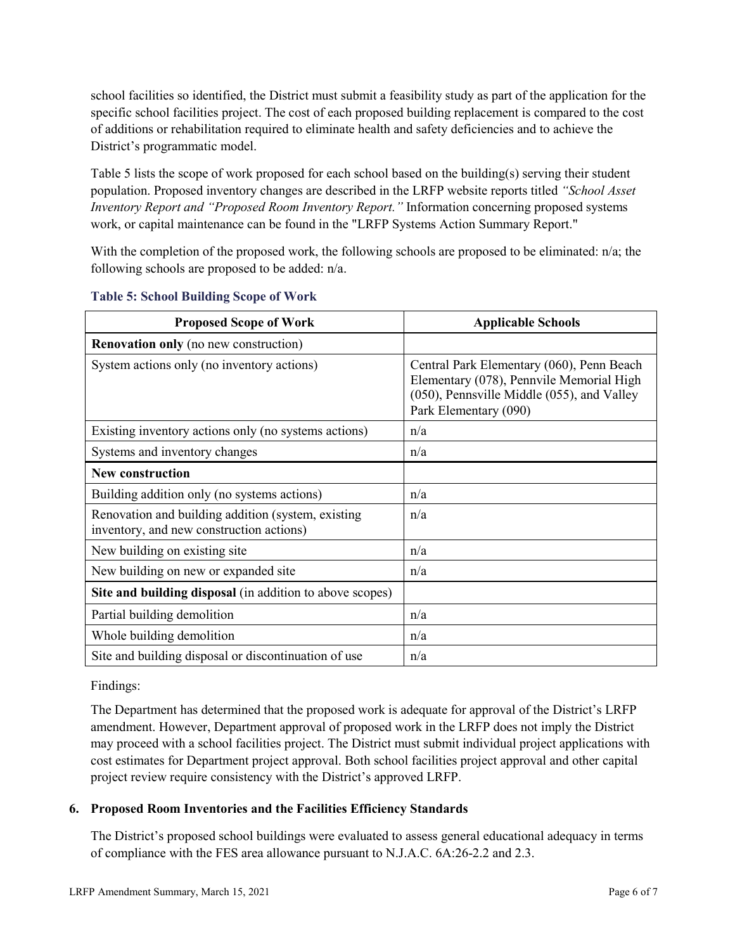school facilities so identified, the District must submit a feasibility study as part of the application for the specific school facilities project. The cost of each proposed building replacement is compared to the cost of additions or rehabilitation required to eliminate health and safety deficiencies and to achieve the District's programmatic model.

Table 5 lists the scope of work proposed for each school based on the building(s) serving their student population. Proposed inventory changes are described in the LRFP website reports titled *"School Asset Inventory Report and "Proposed Room Inventory Report."* Information concerning proposed systems work, or capital maintenance can be found in the "LRFP Systems Action Summary Report."

With the completion of the proposed work, the following schools are proposed to be eliminated: n/a; the following schools are proposed to be added: n/a.

| <b>Proposed Scope of Work</b>                                                                  | <b>Applicable Schools</b>                                                                                                                                    |
|------------------------------------------------------------------------------------------------|--------------------------------------------------------------------------------------------------------------------------------------------------------------|
| <b>Renovation only</b> (no new construction)                                                   |                                                                                                                                                              |
| System actions only (no inventory actions)                                                     | Central Park Elementary (060), Penn Beach<br>Elementary (078), Pennvile Memorial High<br>(050), Pennsville Middle (055), and Valley<br>Park Elementary (090) |
| Existing inventory actions only (no systems actions)                                           | n/a                                                                                                                                                          |
| Systems and inventory changes                                                                  | n/a                                                                                                                                                          |
| <b>New construction</b>                                                                        |                                                                                                                                                              |
| Building addition only (no systems actions)                                                    | n/a                                                                                                                                                          |
| Renovation and building addition (system, existing<br>inventory, and new construction actions) | n/a                                                                                                                                                          |
| New building on existing site                                                                  | n/a                                                                                                                                                          |
| New building on new or expanded site                                                           | n/a                                                                                                                                                          |
| Site and building disposal (in addition to above scopes)                                       |                                                                                                                                                              |
| Partial building demolition                                                                    | n/a                                                                                                                                                          |
| Whole building demolition                                                                      | n/a                                                                                                                                                          |
| Site and building disposal or discontinuation of use                                           | n/a                                                                                                                                                          |

#### **Table 5: School Building Scope of Work**

#### Findings:

The Department has determined that the proposed work is adequate for approval of the District's LRFP amendment. However, Department approval of proposed work in the LRFP does not imply the District may proceed with a school facilities project. The District must submit individual project applications with cost estimates for Department project approval. Both school facilities project approval and other capital project review require consistency with the District's approved LRFP.

# **6. Proposed Room Inventories and the Facilities Efficiency Standards**

The District's proposed school buildings were evaluated to assess general educational adequacy in terms of compliance with the FES area allowance pursuant to N.J.A.C. 6A:26-2.2 and 2.3.